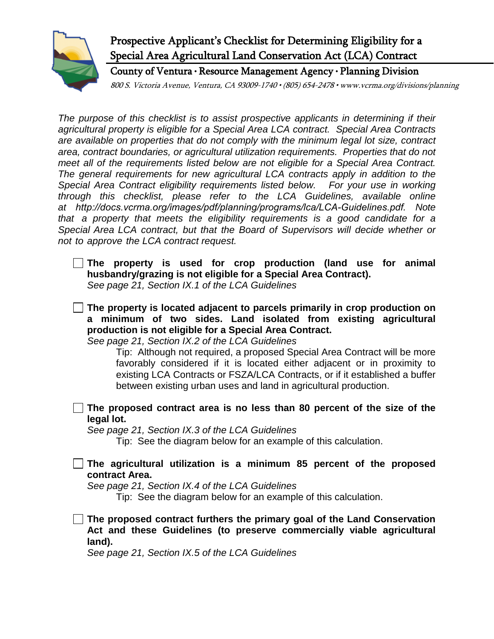

## Prospective Applicant's Checklist for Determining Eligibility for a Special Area Agricultural Land Conservation Act (LCA) Contract

County of Ventura • Resource Management Agency • Planning Division

800 S. Victoria Avenue, Ventura, CA 93009-1740 • (805) 654-2478 • www.vcrma.org/divisions/planning

*The purpose of this checklist is to assist prospective applicants in determining if their agricultural property is eligible for a Special Area LCA contract. Special Area Contracts are available on properties that do not comply with the minimum legal lot size, contract area, contract boundaries, or agricultural utilization requirements. Properties that do not meet all of the requirements listed below are not eligible for a Special Area Contract. The general requirements for new agricultural LCA contracts apply in addition to the Special Area Contract eligibility requirements listed below. For your use in working through this checklist, please refer to the LCA Guidelines, available online at http://docs.vcrma.org/images/pdf/planning/programs/lca/LCA-Guidelines.pdf. Note that a property that meets the eligibility requirements is a good candidate for a Special Area LCA contract, but that the Board of Supervisors will decide whether or not to approve the LCA contract request.* 

**The property is used for crop production (land use for animal husbandry/grazing is not eligible for a Special Area Contract).** *See page 21, Section IX.1 of the LCA Guidelines*

 **The property is located adjacent to parcels primarily in crop production on a minimum of two sides. Land isolated from existing agricultural production is not eligible for a Special Area Contract.** 

*See page 21, Section IX.2 of the LCA Guidelines*

Tip: Although not required, a proposed Special Area Contract will be more favorably considered if it is located either adjacent or in proximity to existing LCA Contracts or FSZA/LCA Contracts, or if it established a buffer between existing urban uses and land in agricultural production.

**The proposed contract area is no less than 80 percent of the size of the legal lot.**

*See page 21, Section IX.3 of the LCA Guidelines*

Tip: See the diagram below for an example of this calculation.

**The agricultural utilization is a minimum 85 percent of the proposed contract Area.** 

*See page 21, Section IX.4 of the LCA Guidelines*

Tip: See the diagram below for an example of this calculation.

**The proposed contract furthers the primary goal of the Land Conservation Act and these Guidelines (to preserve commercially viable agricultural land).** 

*See page 21, Section IX.5 of the LCA Guidelines*